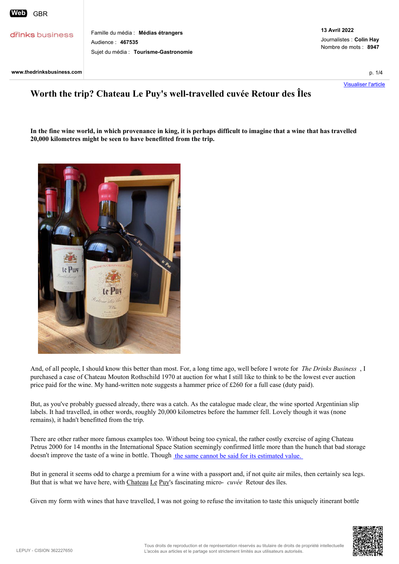**Grinks** business

Famille du média : **Médias étrangers** Audience : **467535** Sujet du média : **Tourisme-Gastronomie**

Journalistes : **Colin Hay** Nombre de mots : **8947**

Visualiser l'article

## **Worth the trip? Chateau Le Puy's well-travelled cuvée Retour des Îles**

**In the fine wine world, in which provenance in king, it is perhaps difficult to imagine that a wine that has travelled 20,000 kilometres might be seen to have benefitted from the trip.** 



And, of all people, I should know this better than most. For, a long time ago, well before I wrote for *The Drinks Business* , I purchased a case of Chateau Mouton Rothschild 1970 at auction for what I still like to think to be the lowest ever auction price paid for the wine. My hand-written note suggests a hammer price of £260 for a full case (duty paid).

But, as you've probably guessed already, there was a catch. As the catalogue made clear, the wine sported Argentinian slip labels. It had travelled, in other words, roughly 20,000 kilometres before the hammer fell. Lovely though it was (none remains), it hadn't benefitted from the trip.

There are other rather more famous examples too. Without being too cynical, the rather costly exercise of aging Chateau Petrus 2000 for 14 months in the International Space Station seemingly confirmed little more than the hunch that bad storage doesn't improve the taste of a wine in bottle. Though the same cannot be said for its estimated value.

But in general it seems odd to charge a premium for a wine with a passport and, if not quite air miles, then certainly sea legs. But that is what we have here, with Chateau Le Puy's fascinating micro- *cuvée* Retour des îles.

Given my form with wines that have travelled, I was not going to refuse the invitation to taste this uniquely itinerant bottle

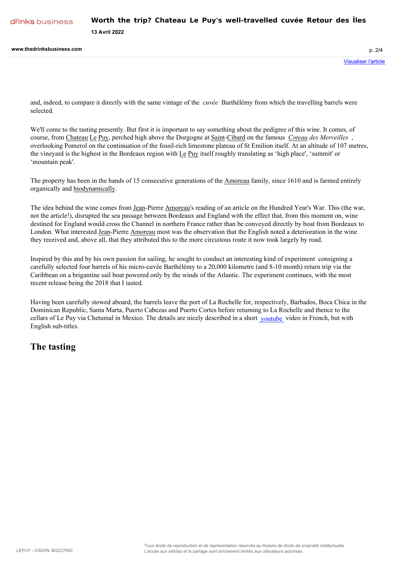**13 Avril 2022**

and, indeed, to compare it directly with the same vintage of the *cuvée* Barthélémy from which the travelling barrels were selected.

We'll come to the tasting presently. But first it is important to say something about the pedigree of this wine. It comes, of course, from Chateau Le Puy, perched high above the Dorgogne at Saint-Cibard on the famous *Coteau des Merveilles* , overlooking Pomerol on the continuation of the fossil-rich limestone plateau of St Emilion itself. At an altitude of 107 metres, the vineyard is the highest in the Bordeaux region with Le Puy itself roughly translating as 'high place', 'summit' or 'mountain peak'.

The property has been in the hands of 15 consecutive generations of the Amoreau family, since 1610 and is farmed entirely organically and biodynamically.

The idea behind the wine comes from Jean-Pierre Amoreau's reading of an article on the Hundred Year's War. This (the war, not the article!), disrupted the sea passage between Bordeaux and England with the effect that, from this moment on, wine destined for England would cross the Channel in northern France rather than be conveyed directly by boat from Bordeaux to London. What interested Jean-Pierre Amoreau most was the observation that the English noted a deterioration in the wine they received and, above all, that they attributed this to the more circuitous route it now took largely by road.

Inspired by this and by his own passion for sailing, he sought to conduct an interesting kind of experiment consigning a carefully selected four barrels of his micro-cuvée Barthélémy to a 20,000 kilometre (and 8-10 month) return trip via the Caribbean on a brigantine sail boat powered only by the winds of the Atlantic. The experiment continues, with the most recent release being the 2018 that I tasted.

Having been carefully stowed aboard, the barrels leave the port of La Rochelle for, respectively, Barbados, Boca Chica in the Dominican Republic, Santa Marta, Puerto Cabezas and Puerto Cortes before returning to La Rochelle and thence to the cellars of Le Puy via Chetumal in Mexico. The details are nicely described in a short voutube video in French, but with English sub-titles.

## **The tasting**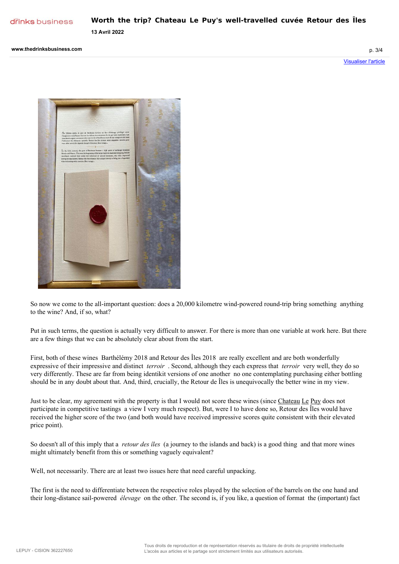

**13 Avril 2022**

So now we come to the all-important question: does a 20,000 kilometre wind-powered round-trip bring something anything to the wine? And, if so, what?

Put in such terms, the question is actually very difficult to answer. For there is more than one variable at work here. But there are a few things that we can be absolutely clear about from the start.

First, both of these wines Barthélémy 2018 and Retour des Îles 2018 are really excellent and are both wonderfully expressive of their impressive and distinct *terroir* . Second, although they each express that *terroir* very well, they do so very differently. These are far from being identikit versions of one another no one contemplating purchasing either bottling should be in any doubt about that. And, third, crucially, the Retour de Îles is unequivocally the better wine in my view.

Just to be clear, my agreement with the property is that I would not score these wines (since Chateau Le Puy does not participate in competitive tastings a view I very much respect). But, were I to have done so, Retour des Îles would have received the higher score of the two (and both would have received impressive scores quite consistent with their elevated price point).

So doesn't all of this imply that a *retour des îles* (a journey to the islands and back) is a good thing and that more wines might ultimately benefit from this or something vaguely equivalent?

Well, not necessarily. There are at least two issues here that need careful unpacking.

The first is the need to differentiate between the respective roles played by the selection of the barrels on the one hand and their long-distance sail-powered *élevage* on the other. The second is, if you like, a question of format the (important) fact